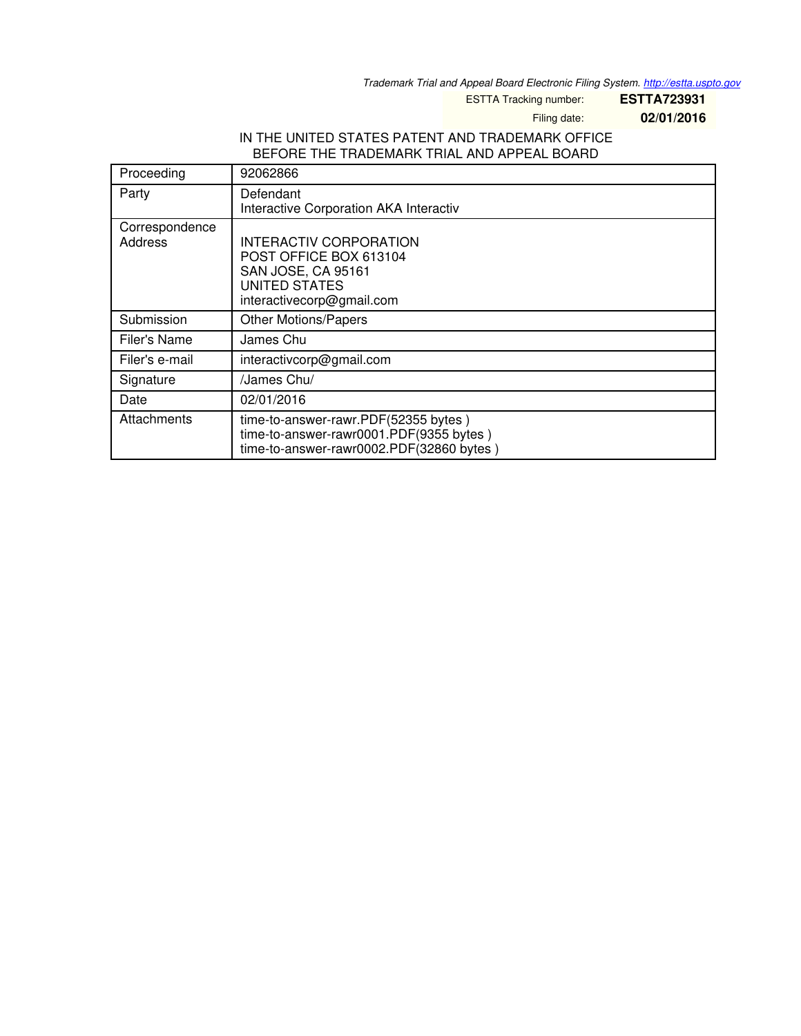*Trademark Trial and Appeal Board Electronic Filing System. <http://estta.uspto.gov>*

ESTTA Tracking number: **ESTTA723931**

Filing date: **02/01/2016**

# IN THE UNITED STATES PATENT AND TRADEMARK OFFICE BEFORE THE TRADEMARK TRIAL AND APPEAL BOARD

| Proceeding                | 92062866                                                                                                                           |  |  |
|---------------------------|------------------------------------------------------------------------------------------------------------------------------------|--|--|
| Party                     | Defendant<br>Interactive Corporation AKA Interactiv                                                                                |  |  |
| Correspondence<br>Address | INTERACTIV CORPORATION<br>POST OFFICE BOX 613104<br><b>SAN JOSE, CA 95161</b><br><b>UNITED STATES</b><br>interactivecorp@gmail.com |  |  |
| Submission                | <b>Other Motions/Papers</b>                                                                                                        |  |  |
| Filer's Name              | James Chu                                                                                                                          |  |  |
| Filer's e-mail            | interactivcorp@gmail.com                                                                                                           |  |  |
| Signature                 | /James Chu/                                                                                                                        |  |  |
| Date                      | 02/01/2016                                                                                                                         |  |  |
| Attachments               | time-to-answer-rawr.PDF(52355 bytes)<br>time-to-answer-rawr0001.PDF(9355 bytes)<br>time-to-answer-rawr0002.PDF(32860 bytes)        |  |  |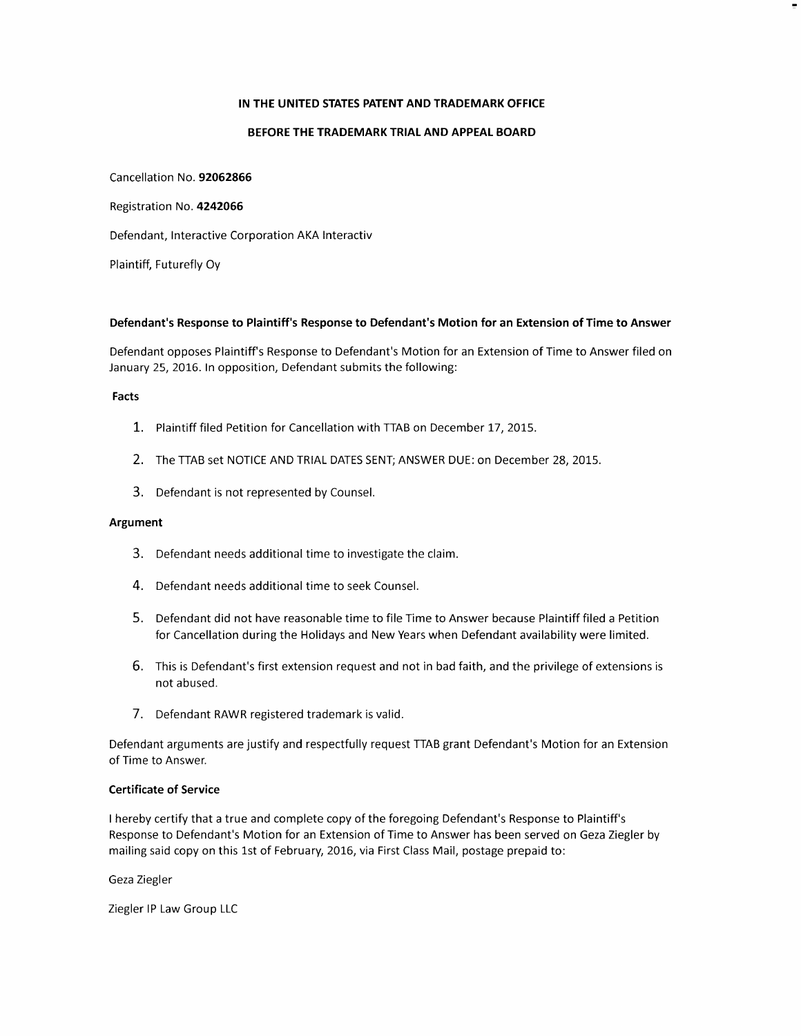## IN THE UNITED STATES PATENT AND TRADEMARK OFFICE

### BEFORE THE TRADEMARK TRIAL AND APPEAL BOARD

Cancellation No. 92062866 Registration No. 4242066 Defendant, Interactive Corporation AKA Interactiv

Plaintiff, Futurefly Oy

#### Defendant's Response to Plaintiff's Response to Defendant's Motion for an Extension of Time to Answer

Defendant opposes Plaintiff's Response to Defendant's Motion for an Extension of Time to Answer filed on January 25, 2016. In opposition, Defendant submits the following:

#### Facts

- 1. Plaintiff filed Petition for Cancellation with TTAB on December 17, 2015.
- 2. The TTAB set NOTICE AND TRIAL DATES SENT; ANSWER DUE: on December 28, 2015.
- 3. Defendant is not represented by Counsel.

## Argument

- 3. Defendant needs additional time to investigate the claim.
- 4. Defendant needs additional time to seek Counsel.
- 5. Defendant did not have reasonable time to file Time to Answer because Plaintiff filed a Petition for Cancellation during the Holidays and New Years when Defendant availability were limited.
- 6. This is Defendant's first extension request and not in bad faith, and the privilege of extensions is not abused.
- 7. Defendant RAWR registered trademark is valid.

Defendant arguments are justify and respectfully request TTAB grant Defendant's Motion for an Extension of Time to Answer.

## Certificate of Service

I hereby certify that a true and complete copy of the foregoing Defendant's Response to Plaintiff's Response to Defendant's Motion for an Extension of Time to Answer has been served on Geza Ziegler by mailing said copy on this 1st of February, 2016, via First Class Mail, postage prepaid to:

Geza Ziegler

Ziegler lP Law Group LLC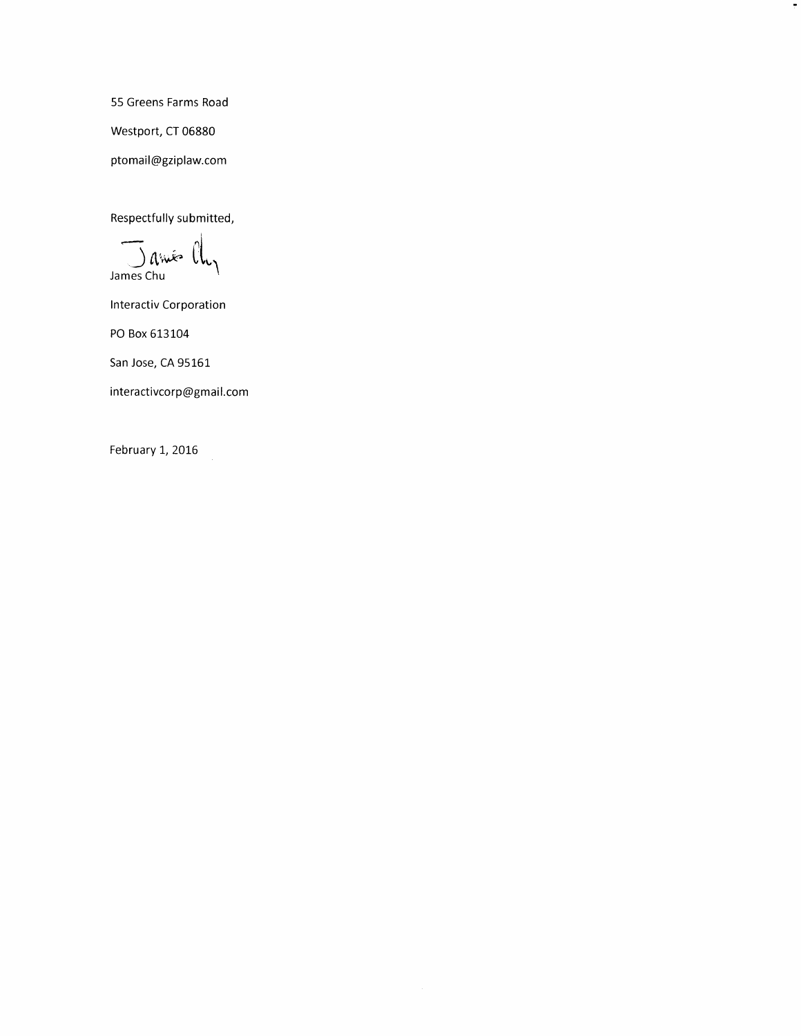55 Greens Farms Road Westport, CT 06880 ptomail@gziplaw.com

 $\blacksquare$ 

Respectfully submitted,

James Chu

Interactiv Corporation

PO Box 613104

San Jose, CA 95161

interactivcorp@gmail.com

February 1, 2016